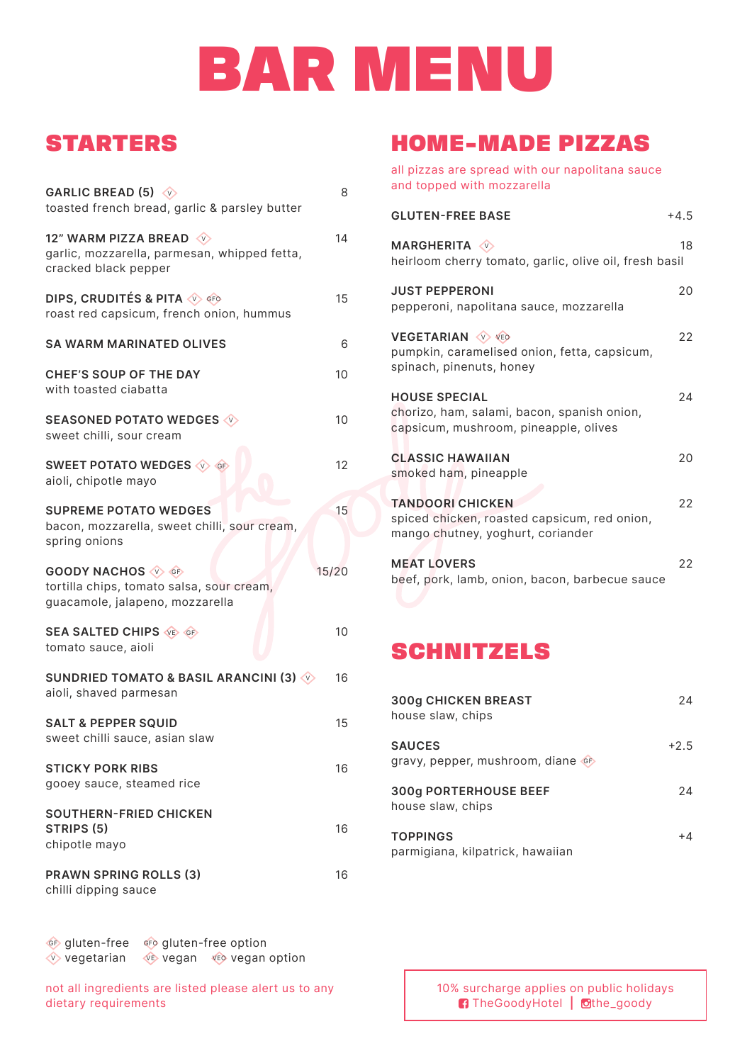# BAR MENU

## STARTERS

| GARLIC BREAD (5) $\sqrt{v}$<br>toasted french bread, garlic & parsley butter                             | 8     |
|----------------------------------------------------------------------------------------------------------|-------|
| 12" WARM PIZZA BREAD<br>garlic, mozzarella, parmesan, whipped fetta,<br>cracked black pepper             | 14    |
| <b>DIPS, CRUDITÉS &amp; PITA V GFO</b><br>roast red capsicum, french onion, hummus                       | 15    |
| <b>SA WARM MARINATED OLIVES</b>                                                                          | 6     |
| <b>CHEF'S SOUP OF THE DAY</b><br>with toasted ciabatta                                                   | 10    |
| <b>SEASONED POTATO WEDGES V</b><br>sweet chilli, sour cream                                              | 10    |
| <b>SWEET POTATO WEDGES &lt;&gt;&gt;&gt; GE</b><br>aioli, chipotle mayo                                   | 12    |
| <b>SUPREME POTATO WEDGES</b><br>bacon, mozzarella, sweet chilli, sour cream,<br>spring onions            | 15    |
| <b>GOODY NACHOS V GF</b><br>tortilla chips, tomato salsa, sour cream,<br>guacamole, jalapeno, mozzarella | 15/20 |
| <b>SEA SALTED CHIPS VE GET</b><br>tomato sauce, aioli                                                    | 10    |
| SUNDRIED TOMATO & BASIL ARANCINI (3) $\Diamond$<br>aioli, shaved parmesan                                | 16    |
| <b>SALT &amp; PEPPER SQUID</b><br>sweet chilli sauce, asian slaw                                         | 15    |
| <b>STICKY PORK RIBS</b><br>gooey sauce, steamed rice                                                     | 16    |
| <b>SOUTHERN-FRIED CHICKEN</b><br><b>STRIPS (5)</b><br>chipotle mayo                                      | 16    |
| <b>PRAWN SPRING ROLLS (3)</b><br>chilli dipping sauce                                                    | 16    |

 GF gluten-free GFO gluten-free option V vegetarian VE vegan VEO vegan option

not all ingredients are listed please alert us to any dietary requirements

## HOME-MADE PIZZAS

all pizzas are spread with our napolitana sauce and topped with mozzarella

| <b>GLUTEN-FREE BASE</b>                                                                                      | $+4.5$ |
|--------------------------------------------------------------------------------------------------------------|--------|
| <b>MARGHERITA</b> $\sqrt{v}$<br>heirloom cherry tomato, garlic, olive oil, fresh basil                       | 18     |
| <b>JUST PEPPERONI</b><br>pepperoni, napolitana sauce, mozzarella                                             | 20     |
| <b>VEGETARIAN WWW.</b><br>pumpkin, caramelised onion, fetta, capsicum,<br>spinach, pinenuts, honey           | 22     |
| <b>HOUSE SPECIAL</b><br>chorizo, ham, salami, bacon, spanish onion,<br>capsicum, mushroom, pineapple, olives | 24     |
| <b>CLASSIC HAWAIIAN</b><br>smoked ham, pineapple                                                             | 20     |
| <b>TANDOORI CHICKEN</b><br>spiced chicken, roasted capsicum, red onion,<br>mango chutney, yoghurt, coriander | 22     |
| <b>MEAT LOVERS</b><br>beef, pork, lamb, onion, bacon, barbecue sauce                                         | 22     |

## **SCHNITZELS**

| <b>300g CHICKEN BREAST</b><br>house slaw, chips     | 24     |
|-----------------------------------------------------|--------|
| <b>SAUCES</b><br>gravy, pepper, mushroom, diane of  | $+2.5$ |
| <b>300g PORTERHOUSE BEEF</b><br>house slaw, chips   | 24     |
| <b>TOPPINGS</b><br>parmigiana, kilpatrick, hawaiian | $+4$   |

10% surcharge applies on public holidays **TheGoodyHotel | othe\_goody**